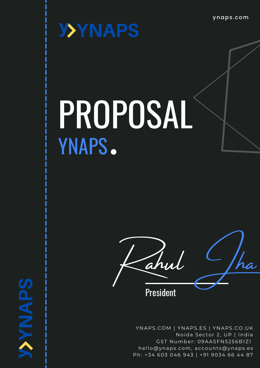ynaps .com



**SdVNWX** 

# PROPOSAL YNAPS.



YNAPS.COM | YNAPS.ES | YNAPS.CO.UK Noida Sector 2, UP | India GST Number: 09AASFN5256B1Z1 hel[lo@ynaps](mailto:hello@ynaps.com).com, accounts@ynaps.es Ph: +34 603 046 943 | +91 9034 66 44 87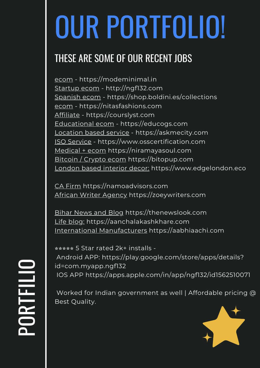# OUR PORTFOLIO!

### THESE ARE SOME OF OUR RECENT JOBS

ecom - [https://modeminimal.in](https://modeminimal.in/) Startup ecom - [http://ngf132.com](http://ngf132.com/) Spanish ecom - <https://shop.boldini.es/collections> ecom - [https://nitasfashions.com](https://nitasfashions.com/) Affiliate - [https://courslyst.com](https://courslyst.com/) Educational ecom - [https://educogs.com](https://educogs.com/) Location based service - [https://askmecity.com](https://askmecity.com/) ISO Service - [https://www.osscertification.com](https://www.osscertification.com/) Medical + ecom [https://niramayasoul.com](https://niramayasoul.com/) Bitcoin / Crypto ecom [https://bitopup.com](https://bitopup.com/) London based interior decor: [https://www.edgelondon.eco](https://www.edgelondon.eco/)

CA Firm [https://namoadvisors.com](https://namoadvisors.com/) African Writer Agency [https://zoeywriters.com](https://zoeywriters.com/)

Bihar News and Blog [https://thenewslook.com](https://thenewslook.com/) Life blog: [https://aanchalakashkhare.com](https://aanchalakashkhare.com/) International Manufacturers [https://aabhiaachi.com](https://aabhiaachi.com/)

⭐⭐⭐⭐⭐ 5 Star rated 2k+ installs - Android APP: [https://play.google.com/store/apps/details?](https://play.google.com/store/apps/details?id=com.myapp.ngf132) id=com.myapp.ngf132 IOS APP <https://apps.apple.com/in/app/ngf132/id1562510071>

Worked for Indian government as well | Affordable pricing @ Best Quality.

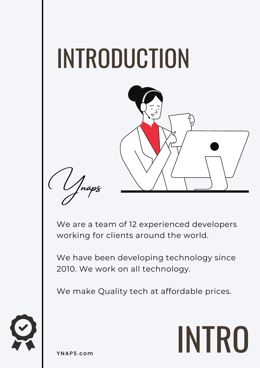

We are a team of 12 experienced developers working for clients around the world.

We have been developing technology since 2010. We work on all technology.

We make Quality tech at affordable prices.





YNAPS.com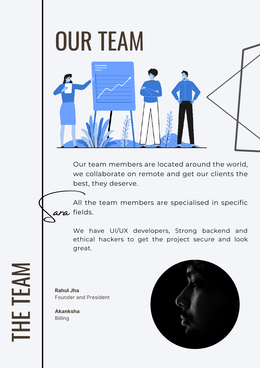

Our team members are located around the world, we collaborate on remote and get our clients the best, they deserve.

All the team members are specialised in specific fields.

We have UI/UX developers, Strong backend and ethical hackers to get the project secure and look great.

**Rahul Jha** Founder and President

**Akanksha** Billing

Sara

 $\blacksquare$ 

H

E

T

E

A

 $\geq$ 

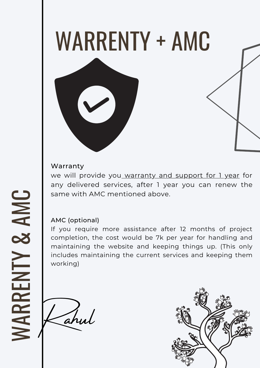

#### Warranty

we will provide you warranty and support for 1 year for any delivered services, after 1 year you can renew the same with AMC mentioned above.

#### AMC (optional)

If you require more assistance after 12 months of project completion, the cost would be 7k per year for handling and maintaining the website and keeping things up. (This only includes maintaining the current services and keeping them working)

Rahul

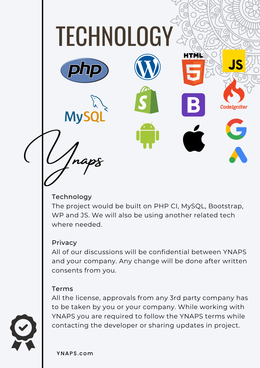

#### Technology

The project would be built on PHP CI, MySQL, Bootstrap, WP and JS. We will also be using another related tech where needed.

#### **Privacy**

All of our discussions will be confidential between YNAPS and your company. Any change will be done after written consents from you.

#### Terms

All the license, approvals from any 3rd party company has to be taken by you or your company. While working with YNAPS you are required to follow the YNAPS terms while contacting the developer or sharing updates in project.

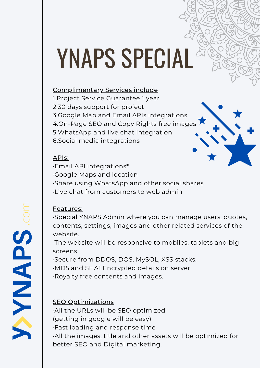## YNAPS SPECIAL

#### Complimentary Services include

1.Project Service Guarantee 1 year 2.30 days support for project 3.Google Map and Email APIs integrations 4.On-Page SEO and Copy Rights free images 5.WhatsApp and live chat integration 6.Social media integrations

#### APIs:

·Email API integrations\*

·Google Maps and location

·Share using WhatsApp and other social shares

·Live chat from customers to web admin

#### Features:

·Special YNAPS Admin where you can manage users, quotes, contents, settings, images and other related services of the website.

·The website will be responsive to mobiles, tablets and big screens

·Secure from DDOS, DOS, MySQL, XSS stacks.

·MD5 and SHA1 Encrypted details on server

·Royalty free contents and images.

#### **SEO Optimizations**

·All the URLs will be SEO optimized (getting in google will be easy) ·Fast loading and response time ·All the images, title and other assets will be optimized for better SEO and Digital marketing.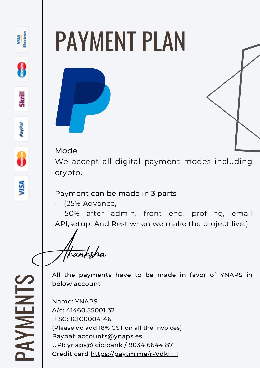

## PAYMENT PLAN

#### Mode

We accept all digital payment modes including crypto.

#### Payment can be made in 3 parts

(25% Advance,

- 50% after admin, front end, profiling, email API,setup. And Rest when we make the project live.)

Akanksha

 $\mathbf{\Omega}_{-}$ A $\blacktriangleright$  $\geq$ EZ  $\overline{\phantom{0}}$  $\mathcal{S}$  All the payments have to be made in favor of YNAPS in below account

Name: YNAPS A/c: 41460 55001 32 IFSC: ICIC0004146 (Please do add 18% GST on all the invoices) Paypal: accounts@ynaps.es UPI: ynaps@icicibank / 9034 6644 87 Credit card <https://paytm.me/r-VdkHH>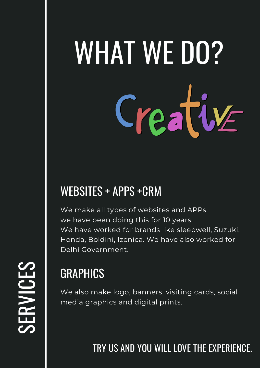# WHAT WE DO? Creative

## WEBSITES + APPS +CRM

We make all types of websites and APPs we have been doing this for 10 years. We have worked for brands like sleepwell, Suzuki, Honda, Boldini, Izenica. We have also worked for Delhi Government.

## GRAPHICS

We also make logo, banners, visiting cards, social media graphics and digital prints.

TRY US AND YOU WILL LOVE THE EXPERIENCE.